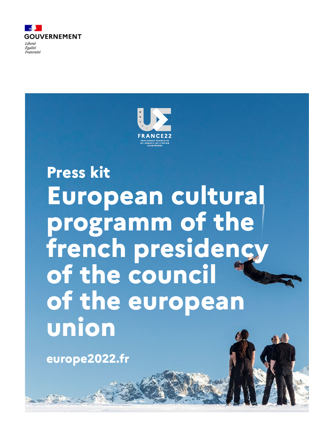



# **Press kit European cultural programm of the french presidency of the council of the european union**

**europe2022.fr**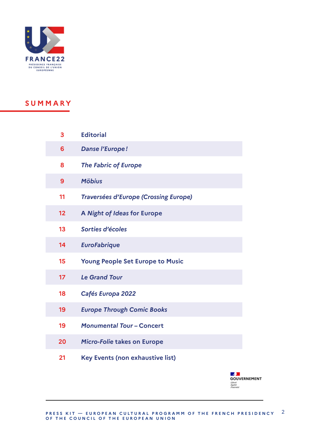

### **SUMMARY**

| 3  | <b>Editorial</b>                             |
|----|----------------------------------------------|
| 6  | <b>Danse l'Europe!</b>                       |
| 8  | <b>The Fabric of Europe</b>                  |
| 9  | <b>Möbius</b>                                |
| 11 | <b>Traversées d'Europe (Crossing Europe)</b> |
| 12 | A Night of Ideas for Europe                  |
| 13 | Sorties d'écoles                             |
| 14 | <b>EuroFabrique</b>                          |
| 15 | <b>Young People Set Europe to Music</b>      |
| 17 | <b>Le Grand Tour</b>                         |
| 18 | Cafés Europa 2022                            |
| 19 | <b>Europe Through Comic Books</b>            |
| 19 | <b>Monumental Tour - Concert</b>             |
| 20 | <b>Micro-Folie takes on Europe</b>           |
| 21 | <b>Key Events (non exhaustive list)</b>      |

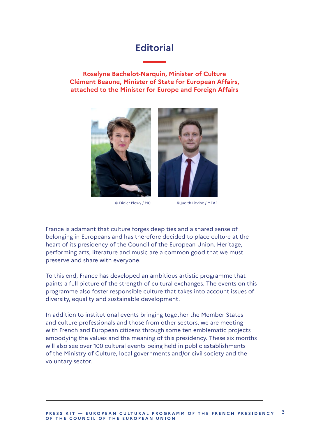### **Editorial**

**Roselyne Bachelot-Narquin, Minister of Culture Clément Beaune, Minister of State for European Affairs, attached to the Minister for Europe and Foreign Affairs**





© Didier Plowy / MC © Judith Litvine / MEAE

France is adamant that culture forges deep ties and a shared sense of belonging in Europeans and has therefore decided to place culture at the heart of its presidency of the Council of the European Union. Heritage, performing arts, literature and music are a common good that we must preserve and share with everyone.

To this end, France has developed an ambitious artistic programme that paints a full picture of the strength of cultural exchanges. The events on this programme also foster responsible culture that takes into account issues of diversity, equality and sustainable development.

In addition to institutional events bringing together the Member States and culture professionals and those from other sectors, we are meeting with French and European citizens through some ten emblematic projects embodying the values and the meaning of this presidency. These six months will also see over 100 cultural events being held in public establishments of the Ministry of Culture, local governments and/or civil society and the voluntary sector.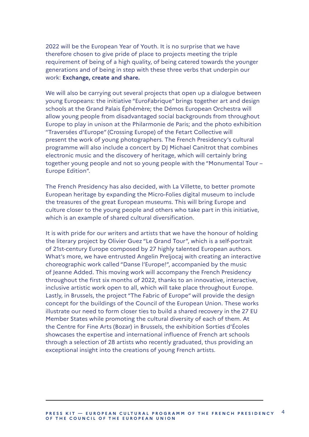2022 will be the European Year of Youth. It is no surprise that we have therefore chosen to give pride of place to projects meeting the triple requirement of being of a high quality, of being catered towards the younger generations and of being in step with these three verbs that underpin our work: **Exchange, create and share.** 

We will also be carrying out several projects that open up a dialogue between young Europeans: the initiative "EuroFabrique" brings together art and design schools at the Grand Palais Éphémère; the Démos European Orchestra will allow young people from disadvantaged social backgrounds from throughout Europe to play in unison at the Philarmonie de Paris; and the photo exhibition "Traversées d'Europe" (Crossing Europe) of the Fetart Collective will present the work of young photographers. The French Presidency's cultural programme will also include a concert by DJ Michael Canitrot that combines electronic music and the discovery of heritage, which will certainly bring together young people and not so young people with the "Monumental Tour – Europe Edition".

The French Presidency has also decided, with La Villette, to better promote European heritage by expanding the Micro-Folies digital museum to include the treasures of the great European museums. This will bring Europe and culture closer to the young people and others who take part in this initiative, which is an example of shared cultural diversification.

It is with pride for our writers and artists that we have the honour of holding the literary project by Olivier Guez "Le Grand Tour", which is a self-portrait of 21st-century Europe composed by 27 highly talented European authors. What's more, we have entrusted Angelin Preljocaj with creating an interactive choreographic work called "Danse l'Europe!", accompanied by the music of Jeanne Added. This moving work will accompany the French Presidency throughout the first six months of 2022, thanks to an innovative, interactive, inclusive artistic work open to all, which will take place throughout Europe. Lastly, in Brussels, the project "The Fabric of Europe" will provide the design concept for the buildings of the Council of the European Union. These works illustrate our need to form closer ties to build a shared recovery in the 27 EU Member States while promoting the cultural diversity of each of them. At the Centre for Fine Arts (Bozar) in Brussels, the exhibition Sorties d'Écoles showcases the expertise and international influence of French art schools through a selection of 28 artists who recently graduated, thus providing an exceptional insight into the creations of young French artists.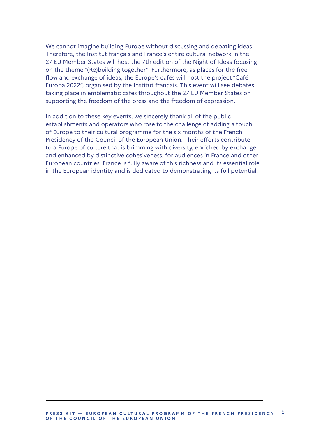We cannot imagine building Europe without discussing and debating ideas. Therefore, the Institut français and France's entire cultural network in the 27 EU Member States will host the 7th edition of the Night of Ideas focusing on the theme "(Re)building together". Furthermore, as places for the free flow and exchange of ideas, the Europe's cafés will host the project "Café Europa 2022", organised by the Institut français. This event will see debates taking place in emblematic cafés throughout the 27 EU Member States on supporting the freedom of the press and the freedom of expression.

In addition to these key events, we sincerely thank all of the public establishments and operators who rose to the challenge of adding a touch of Europe to their cultural programme for the six months of the French Presidency of the Council of the European Union. Their efforts contribute to a Europe of culture that is brimming with diversity, enriched by exchange and enhanced by distinctive cohesiveness, for audiences in France and other European countries. France is fully aware of this richness and its essential role in the European identity and is dedicated to demonstrating its full potential.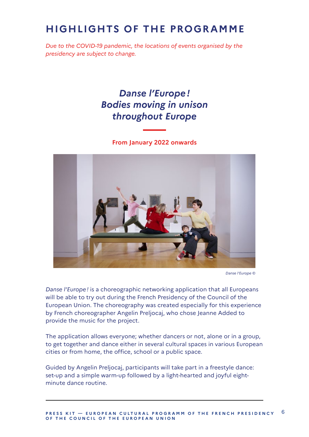# **HIGHLIGHTS OF THE PROGRAMME**

*Due to the COVID-19 pandemic, the locations of events organised by the presidency are subject to change.*

# *Danse l'Europe ! Bodies moving in unison throughout Europe*

**From January 2022 onwards**



*Danse l'Europe* ©

*Danse l'Europe !* is a choreographic networking application that all Europeans will be able to try out during the French Presidency of the Council of the European Union. The choreography was created especially for this experience by French choreographer Angelin Preljocaj, who chose Jeanne Added to provide the music for the project.

The application allows everyone; whether dancers or not, alone or in a group, to get together and dance either in several cultural spaces in various European cities or from home, the office, school or a public space.

Guided by Angelin Preljocaj, participants will take part in a freestyle dance: set-up and a simple warm-up followed by a light-hearted and joyful eightminute dance routine.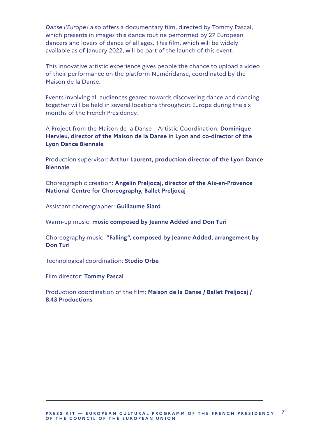*Danse l'Europe !* also offers a documentary film, directed by Tommy Pascal, which presents in images this dance routine performed by 27 European dancers and lovers of dance of all ages. This film, which will be widely available as of January 2022, will be part of the launch of this event.

This innovative artistic experience gives people the chance to upload a video of their performance on the platform Numéridanse, coordinated by the Maison de la Danse.

Events involving all audiences geared towards discovering dance and dancing together will be held in several locations throughout Europe during the six months of the French Presidency.

A Project from the Maison de la Danse – Artistic Coordination: **Dominique Hervieu, director of the Maison de la Danse in Lyon and co-director of the Lyon Dance Biennale**

Production supervisor: **Arthur Laurent, production director of the Lyon Dance Biennale**

Choreographic creation: **Angelin Preljocaj, director of the Aix-en-Provence National Centre for Choreography, Ballet Preljocaj**

Assistant choreographer: **Guillaume Siard**

Warm-up music: **music composed by Jeanne Added and Don Turi**

Choreography music: **"Falling", composed by Jeanne Added, arrangement by Don Turi**

Technological coordination: **Studio Orbe**

Film director: **Tommy Pascal**

Production coordination of the film: **Maison de la Danse / Ballet Preljocaj / 8.43 Productions**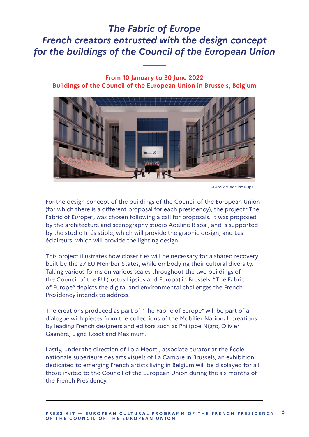# *The Fabric of Europe French creators entrusted with the design concept for the buildings of the Council of the European Union*

**From 10 January to 30 June 2022 Buildings of the Council of the European Union in Brussels, Belgium**



© Ateliers Adeline Rispal.

For the design concept of the buildings of the Council of the European Union (for which there is a different proposal for each presidency), the project "The Fabric of Europe", was chosen following a call for proposals. It was proposed by the architecture and scenography studio Adeline Rispal, and is supported by the studio Irrésistible, which will provide the graphic design, and Les éclaireurs, which will provide the lighting design.

This project illustrates how closer ties will be necessary for a shared recovery built by the 27 EU Member States, while embodying their cultural diversity. Taking various forms on various scales throughout the two buildings of the Council of the EU (Justus Lipsius and Europa) in Brussels, "The Fabric of Europe" depicts the digital and environmental challenges the French Presidency intends to address.

The creations produced as part of "The Fabric of Europe" will be part of a dialogue with pieces from the collections of the Mobilier National, creations by leading French designers and editors such as Philippe Nigro, Olivier Gagnère, Ligne Roset and Maximum.

Lastly, under the direction of Lola Meotti, associate curator at the École nationale supérieure des arts visuels of La Cambre in Brussels, an exhibition dedicated to emerging French artists living in Belgium will be displayed for all those invited to the Council of the European Union during the six months of the French Presidency.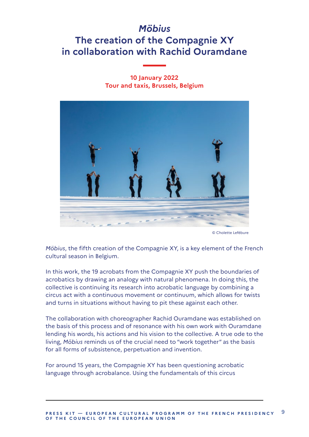# *Möbius* **The creation of the Compagnie XY in collaboration with Rachid Ouramdane**

#### **10 January 2022 Tour and taxis, Brussels, Belgium**



© Cholette Lefébure

*Möbius*, the fifth creation of the Compagnie XY, is a key element of the French cultural season in Belgium.

In this work, the 19 acrobats from the Compagnie XY push the boundaries of acrobatics by drawing an analogy with natural phenomena. In doing this, the collective is continuing its research into acrobatic language by combining a circus act with a continuous movement or continuum, which allows for twists and turns in situations without having to pit these against each other.

The collaboration with choreographer Rachid Ouramdane was established on the basis of this process and of resonance with his own work with Ouramdane lending his words, his actions and his vision to the collective. A true ode to the living, *Möbius* reminds us of the crucial need to "work together" as the basis for all forms of subsistence, perpetuation and invention.

For around 15 years, the Compagnie XY has been questioning acrobatic language through acrobalance. Using the fundamentals of this circus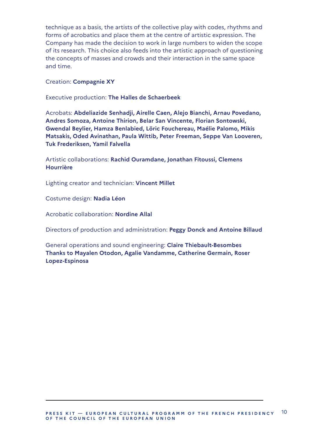technique as a basis, the artists of the collective play with codes, rhythms and forms of acrobatics and place them at the centre of artistic expression. The Company has made the decision to work in large numbers to widen the scope of its research. This choice also feeds into the artistic approach of questioning the concepts of masses and crowds and their interaction in the same space and time.

#### Creation: **Compagnie XY**

Executive production: **The Halles de Schaerbeek**

Acrobats: **Abdeliazide Senhadji, Airelle Caen, Alejo Bianchi, Arnau Povedano, Andres Somoza, Antoine Thirion, Belar San Vincente, Florian Sontowski, Gwendal Beylier, Hamza Benlabied, Löric Fouchereau, Maélie Palomo, Mikis Matsakis, Oded Avinathan, Paula Wittib, Peter Freeman, Seppe Van Looveren, Tuk Frederiksen, Yamil Falvella**

Artistic collaborations: **Rachid Ouramdane, Jonathan Fitoussi, Clemens Hourrière**

Lighting creator and technician: **Vincent Millet**

Costume design: **Nadia Léon**

Acrobatic collaboration: **Nordine Allal**

Directors of production and administration: **Peggy Donck and Antoine Billaud**

General operations and sound engineering: **Claire Thiebault-Besombes Thanks to Mayalen Otodon, Agalie Vandamme, Catherine Germain, Roser Lopez-Espinosa**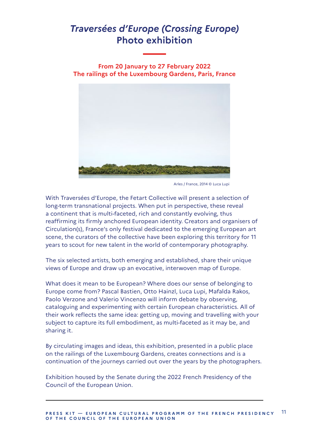# *Traversées d'Europe (Crossing Europe)* **Photo exhibition**

**From 20 January to 27 February 2022 The railings of the Luxembourg Gardens, Paris, France**

![](_page_10_Picture_2.jpeg)

Arles / France, 2014 © Luca Lupi

With Traversées d'Europe, the Fetart Collective will present a selection of long-term transnational projects. When put in perspective, these reveal a continent that is multi-faceted, rich and constantly evolving, thus reaffirming its firmly anchored European identity. Creators and organisers of Circulation(s), France's only festival dedicated to the emerging European art scene, the curators of the collective have been exploring this territory for 11 years to scout for new talent in the world of contemporary photography.

The six selected artists, both emerging and established, share their unique views of Europe and draw up an evocative, interwoven map of Europe.

What does it mean to be European? Where does our sense of belonging to Europe come from? Pascal Bastien, Otto Hainzl, Luca Lupi, Mafalda Rakos, Paolo Verzone and Valerio Vincenzo will inform debate by observing, cataloguing and experimenting with certain European characteristics. All of their work reflects the same idea: getting up, moving and travelling with your subject to capture its full embodiment, as multi-faceted as it may be, and sharing it.

By circulating images and ideas, this exhibition, presented in a public place on the railings of the Luxembourg Gardens, creates connections and is a continuation of the journeys carried out over the years by the photographers.

Exhibition housed by the Senate during the 2022 French Presidency of the Council of the European Union.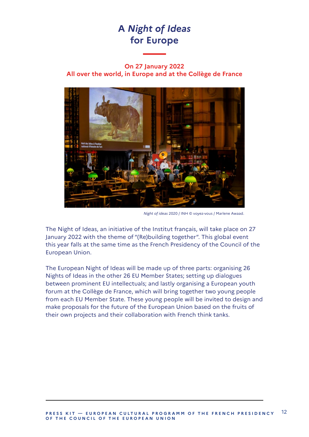# **A** *Night of Ideas* **for Europe**

#### **On 27 January 2022 All over the world, in Europe and at the Collège de France**

![](_page_11_Picture_2.jpeg)

*Night of ideas* 2020 / INH © voyez-vous / Marlene Awaad.

The Night of Ideas, an initiative of the Institut français, will take place on 27 January 2022 with the theme of "(Re)building together". This global event this year falls at the same time as the French Presidency of the Council of the European Union.

The European Night of Ideas will be made up of three parts: organising 26 Nights of Ideas in the other 26 EU Member States; setting up dialogues between prominent EU intellectuals; and lastly organising a European youth forum at the Collège de France, which will bring together two young people from each EU Member State. These young people will be invited to design and make proposals for the future of the European Union based on the fruits of their own projects and their collaboration with French think tanks.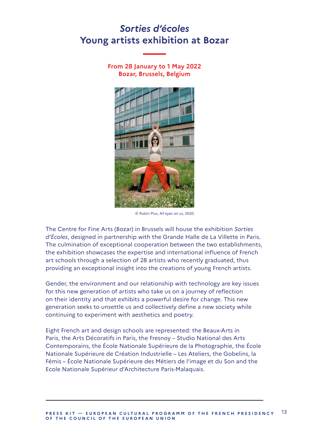### *Sorties d'écoles* **Young artists exhibition at Bozar**

**From 28 January to 1 May 2022 Bozar, Brussels, Belgium**

![](_page_12_Picture_2.jpeg)

© Robin Plus, *All eyes on us*, 2020.

The Centre for Fine Arts (Bozar) in Brussels will house the exhibition *Sorties d'Écoles*, designed in partnership with the Grande Halle de La Villette in Paris. The culmination of exceptional cooperation between the two establishments, the exhibition showcases the expertise and international influence of French art schools through a selection of 28 artists who recently graduated, thus providing an exceptional insight into the creations of young French artists.

Gender, the environment and our relationship with technology are key issues for this new generation of artists who take us on a journey of reflection on their identity and that exhibits a powerful desire for change. This new generation seeks to unsettle us and collectively define a new society while continuing to experiment with aesthetics and poetry.

Eight French art and design schools are represented: the Beaux-Arts in Paris, the Arts Décoratifs in Paris, the Fresnoy – Studio National des Arts Contemporains, the École Nationale Supérieure de la Photographie, the École Nationale Supérieure de Création Industrielle – Les Ateliers, the Gobelins, la Fémis – École Nationale Supérieure des Métiers de l'image et du Son and the Ecole Nationale Supérieur d'Architecture Paris-Malaquais.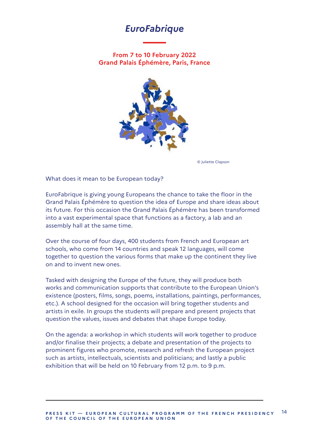### *EuroFabrique*

**From 7 to 10 February 2022 Grand Palais Éphémère, Paris, France**

![](_page_13_Picture_2.jpeg)

© Juliette Clapson

What does it mean to be European today?

EuroFabrique is giving young Europeans the chance to take the floor in the Grand Palais Éphémère to question the idea of Europe and share ideas about its future. For this occasion the Grand Palais Éphémère has been transformed into a vast experimental space that functions as a factory, a lab and an assembly hall at the same time.

Over the course of four days, 400 students from French and European art schools, who come from 14 countries and speak 12 languages, will come together to question the various forms that make up the continent they live on and to invent new ones.

Tasked with designing the Europe of the future, they will produce both works and communication supports that contribute to the European Union's existence (posters, films, songs, poems, installations, paintings, performances, etc.). A school designed for the occasion will bring together students and artists in exile. In groups the students will prepare and present projects that question the values, issues and debates that shape Europe today.

On the agenda: a workshop in which students will work together to produce and/or finalise their projects; a debate and presentation of the projects to prominent figures who promote, research and refresh the European project such as artists, intellectuals, scientists and politicians; and lastly a public exhibition that will be held on 10 February from 12 p.m. to 9 p.m.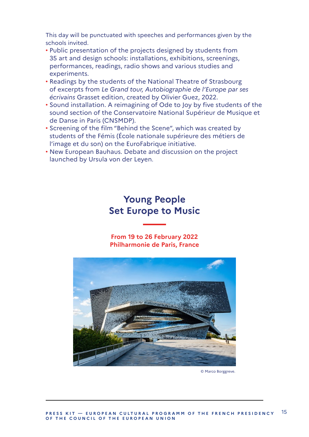This day will be punctuated with speeches and performances given by the schools invited.

- Public presentation of the projects designed by students from 35 art and design schools: installations, exhibitions, screenings, performances, readings, radio shows and various studies and experiments.
- Readings by the students of the National Theatre of Strasbourg of excerpts from *Le Grand tour, Autobiographie de l'Europe par ses écrivains* Grasset edition, created by Olivier Guez, 2022.
- Sound installation. A reimagining of Ode to Joy by five students of the sound section of the Conservatoire National Supérieur de Musique et de Danse in Paris (CNSMDP).
- Screening of the film "Behind the Scene", which was created by students of the Fémis (École nationale supérieure des métiers de l'image et du son) on the EuroFabrique initiative.
- New European Bauhaus. Debate and discussion on the project launched by Ursula von der Leyen.

### **Young People Set Europe to Music**

**From 19 to 26 February 2022 Philharmonie de Paris, France**

![](_page_14_Picture_8.jpeg)

© Marco Borggreve.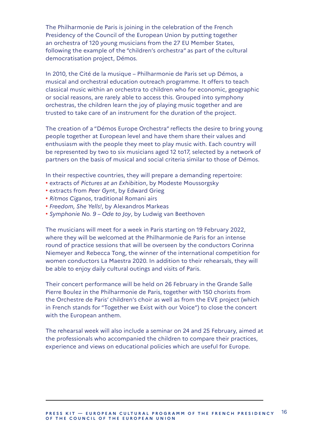The Philharmonie de Paris is joining in the celebration of the French Presidency of the Council of the European Union by putting together an orchestra of 120 young musicians from the 27 EU Member States, following the example of the "children's orchestra" as part of the cultural democratisation project, Démos.

In 2010, the Cité de la musique – Philharmonie de Paris set up Démos, a musical and orchestral education outreach programme. It offers to teach classical music within an orchestra to children who for economic, geographic or social reasons, are rarely able to access this. Grouped into symphony orchestras, the children learn the joy of playing music together and are trusted to take care of an instrument for the duration of the project.

The creation of a "Démos Europe Orchestra" reflects the desire to bring young people together at European level and have them share their values and enthusiasm with the people they meet to play music with. Each country will be represented by two to six musicians aged 12 to17, selected by a network of partners on the basis of musical and social criteria similar to those of Démos.

In their respective countries, they will prepare a demanding repertoire:

- extracts of *Pictures at an Exhibition*, by Modeste Moussorgsky
- extracts from *Peer Gyn*t, by Edward Grieg
- *Ritmos Ciganos*, traditional Romani airs
- *Freedom, She Yells!*, by Alexandros Markeas
- *Symphonie No. 9 Ode to Joy*, by Ludwig van Beethoven

The musicians will meet for a week in Paris starting on 19 February 2022, where they will be welcomed at the Philharmonie de Paris for an intense round of practice sessions that will be overseen by the conductors Corinna Niemeyer and Rebecca Tong, the winner of the international competition for women conductors La Maestra 2020. In addition to their rehearsals, they will be able to enjoy daily cultural outings and visits of Paris.

Their concert performance will be held on 26 February in the Grande Salle Pierre Boulez in the Philharmonie de Paris, together with 150 chorists from the Orchestre de Paris' children's choir as well as from the EVE project (which in French stands for "Together we Exist with our Voice") to close the concert with the European anthem.

The rehearsal week will also include a seminar on 24 and 25 February, aimed at the professionals who accompanied the children to compare their practices, experience and views on educational policies which are useful for Europe.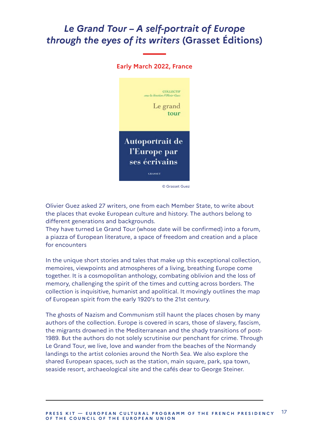### *Le Grand Tour – A self-portrait of Europe through the eyes of its writers* **(Grasset Éditions)**

![](_page_16_Picture_1.jpeg)

© Grasset Guez

Olivier Guez asked 27 writers, one from each Member State, to write about the places that evoke European culture and history. The authors belong to different generations and backgrounds.

They have turned Le Grand Tour (whose date will be confirmed) into a forum, a piazza of European literature, a space of freedom and creation and a place for encounters

In the unique short stories and tales that make up this exceptional collection, memoires, viewpoints and atmospheres of a living, breathing Europe come together. It is a cosmopolitan anthology, combating oblivion and the loss of memory, challenging the spirit of the times and cutting across borders. The collection is inquisitive, humanist and apolitical. It movingly outlines the map of European spirit from the early 1920's to the 21st century.

The ghosts of Nazism and Communism still haunt the places chosen by many authors of the collection. Europe is covered in scars, those of slavery, fascism, the migrants drowned in the Mediterranean and the shady transitions of post-1989. But the authors do not solely scrutinise our penchant for crime. Through Le Grand Tour, we live, love and wander from the beaches of the Normandy landings to the artist colonies around the North Sea. We also explore the shared European spaces, such as the station, main square, park, spa town, seaside resort, archaeological site and the cafés dear to George Steiner.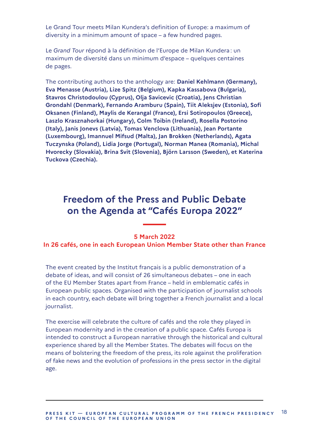Le Grand Tour meets Milan Kundera's definition of Europe: a maximum of diversity in a minimum amount of space – a few hundred pages.

Le *Grand Tour* répond à la définition de l'Europe de Milan Kundera : un maximum de diversité dans un minimum d'espace – quelques centaines de pages.

The contributing authors to the anthology are: **Daniel Kehlmann (Germany), Eva Menasse (Austria), Lize Spitz (Belgium), Kapka Kassabova (Bulgaria), Stavros Christodoulou (Cyprus), Olja Savicevic (Croatia), Jens Christian Grondahl (Denmark), Fernando Aramburu (Spain), Tiit Aleksjev (Estonia), Sofi Oksanen (Finland), Maylis de Kerangal (France), Ersi Sotiropoulos (Greece), Laszlo Krasznahorkai (Hungary), Colm Toibin (Ireland), Rosella Postorino (Italy), Janis Jonevs (Latvia), Tomas Venclova (Lithuania), Jean Portante (Luxembourg), Imannuel Mifsud (Malta), Jan Brokken (Netherlands), Agata Tuczynska (Poland), Lidia Jorge (Portugal), Norman Manea (Romania), Michal Hvorecky (Slovakia), Brina Svit (Slovenia), Björn Larsson (Sweden), et Katerina Tuckova (Czechia).**

### **Freedom of the Press and Public Debate on the Agenda at "Cafés Europa 2022"**

#### **5 March 2022**

#### **In 26 cafés, one in each European Union Member State other than France**

The event created by the Institut français is a public demonstration of a debate of ideas, and will consist of 26 simultaneous debates – one in each of the EU Member States apart from France – held in emblematic cafés in European public spaces. Organised with the participation of journalist schools in each country, each debate will bring together a French journalist and a local journalist.

The exercise will celebrate the culture of cafés and the role they played in European modernity and in the creation of a public space. Cafés Europa is intended to construct a European narrative through the historical and cultural experience shared by all the Member States. The debates will focus on the means of bolstering the freedom of the press, its role against the proliferation of fake news and the evolution of professions in the press sector in the digital age.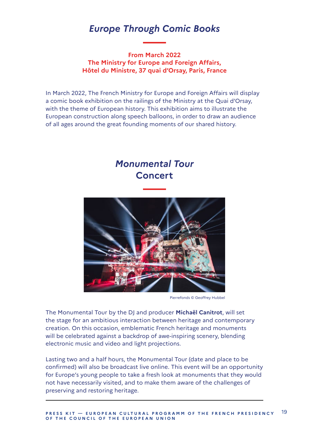### *Europe Through Comic Books*

**From March 2022 The Ministry for Europe and Foreign Affairs, Hôtel du Ministre, 37 quai d'Orsay, Paris, France**

In March 2022, The French Ministry for Europe and Foreign Affairs will display a comic book exhibition on the railings of the Ministry at the Quai d'Orsay, with the theme of European history. This exhibition aims to illustrate the European construction along speech balloons, in order to draw an audience of all ages around the great founding moments of our shared history.

### *Monumental Tour* **Concert**

![](_page_18_Picture_4.jpeg)

Pierrefonds © Geoffrey Hubbel

The Monumental Tour by the DJ and producer **Michaël Canitrot**, will set the stage for an ambitious interaction between heritage and contemporary creation. On this occasion, emblematic French heritage and monuments will be celebrated against a backdrop of awe-inspiring scenery, blending electronic music and video and light projections.

Lasting two and a half hours, the Monumental Tour (date and place to be confirmed) will also be broadcast live online. This event will be an opportunity for Europe's young people to take a fresh look at monuments that they would not have necessarily visited, and to make them aware of the challenges of preserving and restoring heritage.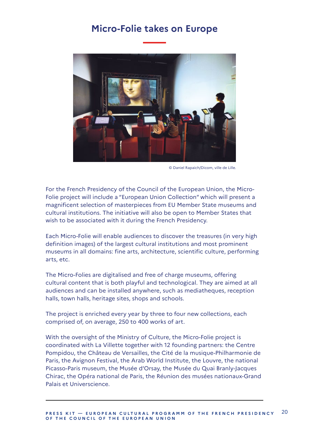### **Micro-Folie takes on Europe**

![](_page_19_Picture_1.jpeg)

© Daniel Rapaich/Dicom, ville de Lille.

For the French Presidency of the Council of the European Union, the Micro-Folie project will include a "European Union Collection" which will present a magnificent selection of masterpieces from EU Member State museums and cultural institutions. The initiative will also be open to Member States that wish to be associated with it during the French Presidency.

Each Micro-Folie will enable audiences to discover the treasures (in very high definition images) of the largest cultural institutions and most prominent museums in all domains: fine arts, architecture, scientific culture, performing arts, etc.

The Micro-Folies are digitalised and free of charge museums, offering cultural content that is both playful and technological. They are aimed at all audiences and can be installed anywhere, such as mediatheques, reception halls, town halls, heritage sites, shops and schools.

The project is enriched every year by three to four new collections, each comprised of, on average, 250 to 400 works of art.

With the oversight of the Ministry of Culture, the Micro-Folie project is coordinated with La Villette together with 12 founding partners: the Centre Pompidou, the Château de Versailles, the Cité de la musique-Philharmonie de Paris, the Avignon Festival, the Arab World Institute, the Louvre, the national Picasso-Paris museum, the Musée d'Orsay, the Musée du Quai Branly-Jacques Chirac, the Opéra national de Paris, the Réunion des musées nationaux-Grand Palais et Universcience.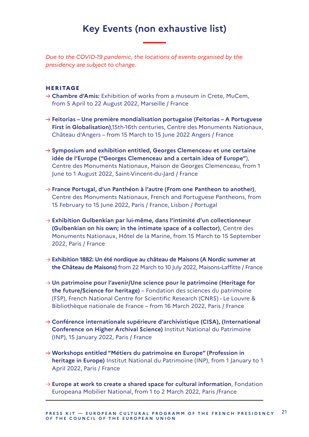# **Key Events (non exhaustive list)**

*Due to the COVID-19 pandemic, the locations of events organised by the presidency are subject to change.*

#### **HERITAGE**

- → **Chambre d'Amis:** Exhibition of works from a museum in Crete, MuCem, from 5 April to 22 August 2022, Marseille / France
- **Feitorias Une première mondialisation portugaise (Feitorias A Portuguese First in Globalisation)**,15th-16th centuries, Centre des Monuments Nationaux, Château d'Angers – from 15 March to 15 June 2022 Angers / France
- → Symposium and exhibition entitled, Georges Clemenceau et une certaine **idée de l'Europe ("Georges Clemenceau and a certain idea of Europe"**), Centre des Monuments Nationaux, Maison de Georges Clemenceau, from 1 June to 1 August 2022, Saint-Vincent-du-Jard / France
- **France Portugal, d'un Panthéon à l'autre (From one Pantheon to another)**, Centre des Monuments Nationaux, French and Portuguese Pantheons, from 15 February to 15 June 2022, Paris / France, Lisbon / Portugal
- **Exhibition Gulbenkian par lui-même, dans l'intimité d'un collectionneur (Gulbenkian on his own; in the intimate space of a collector)**, Centre des Monuments Nationaux, Hôtel de la Marine, from 15 March to 15 September 2022, Paris / France
- **Exhibition 1882: Un été nordique au château de Maisons (A Nordic summer at the Château de Maisons)** from 22 March to 10 July 2022, Maisons-Laffitte / France
- **Un patrimoine pour l'avenir/Une science pour le patrimoine (Heritage for the future/Science for heritage)** – Fondation des sciences du patrimoine (FSP), French National Centre for Scientific Research (CNRS) - Le Louvre & Bibliothèque nationale de France – from 16 March 2022, Paris / France
- **Conférence internationale supérieure d'archivistique (CISA), (International Conference on Higher Archival Science)** Institut National du Patrimoine (INP), 15 January 2022, Paris / France
- **Workshops entitled "Métiers du patrimoine en Europe" (Profession in heritage in Europe)** Institut National du Patrimoine (INP), from 1 January to 1 April 2022, Paris / France
- **Europe at work to create a shared space for cultural information**, Fondation Europeana Mobilier National, from 1 to 2 March 2022, Paris /France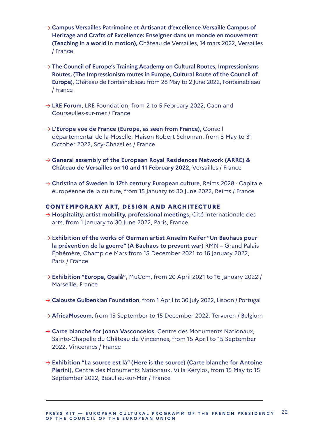- **Campus Versailles Patrimoine et Artisanat d'excellence Versaille Campus of Heritage and Crafts of Excellence: Enseigner dans un monde en mouvement (Teaching in a world in motion),** Château de Versailles, 14 mars 2022, Versailles / France
- **The Council of Europe's Training Academy on Cultural Routes, Impressionisms Routes, (The Impressionism routes in Europe, Cultural Route of the Council of Europe)**, Château de Fontainebleau from 28 May to 2 June 2022, Fontainebleau / France
- **LRE Forum**, LRE Foundation, from 2 to 5 February 2022, Caen and Courseulles-sur-mer / France
- **L'Europe vue de France (Europe, as seen from France)**, Conseil départemental de la Moselle, Maison Robert Schuman, from 3 May to 31 October 2022, Scy-Chazelles / France
- **General assembly of the European Royal Residences Network (ARRE) & Château de Versailles on 10 and 11 February 2022,** Versailles / France
- → Christina of Sweden in 17th century European culture, Reims 2028 Capitale européenne de la culture, from 15 January to 30 June 2022, Reims / France

#### **CONTEMPOR ARY ART, DESIGN AND ARCHITECTURE**

- → **Hospitality, artist mobility, professional meetings**, Cité internationale des arts, from 1 January to 30 June 2022, Paris, France
- E**xhibition of the works of German artist Anselm Keifer "Un Bauhaus pour la prévention de la guerre" (A Bauhaus to prevent war)** RMN – Grand Palais Éphémère, Champ de Mars from 15 December 2021 to 16 January 2022, Paris / France
- → Exhibition "Europa, Oxalå", MuCem, from 20 April 2021 to 16 January 2022 / Marseille, France
- → **Calouste Gulbenkian Foundation**, from 1 April to 30 July 2022, Lisbon / Portugal
- **AfricaMuseum**, from 15 September to 15 December 2022, Tervuren / Belgium
- **Carte blanche for Joana Vasconcelos**, Centre des Monuments Nationaux, Sainte-Chapelle du Château de Vincennes, from 15 April to 15 September 2022, Vincennes / France
- **Exhibition "La source est là" (Here is the source) (Carte blanche for Antoine Pierini)**, Centre des Monuments Nationaux, Villa Kérylos, from 15 May to 15 September 2022, Beaulieu-sur-Mer / France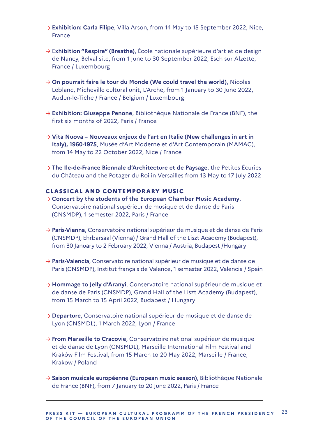- → Exhibition: Carla Filipe, Villa Arson, from 14 May to 15 September 2022, Nice, **France**
- E**xhibition "Respire" (Breathe)**, École nationale supérieure d'art et de design de Nancy, Belval site, from 1 June to 30 September 2022, Esch sur Alzette, France / Luxembourg
- → On pourrait faire le tour du Monde (We could travel the world), Nicolas Leblanc, Micheville cultural unit, L'Arche, from 1 January to 30 June 2022, Audun-le-Tiche / France / Belgium / Luxembourg
- → **Exhibition: Giuseppe Penone**, Bibliothèque Nationale de France (BNF), the first six months of 2022, Paris / France
- **Vita Nuova Nouveaux enjeux de l'art en Italie (New challenges in art in Italy), 1960-1975**, Musée d'Art Moderne et d'Art Contemporain (MAMAC), from 14 May to 22 October 2022, Nice / France
- **The Ile-de-France Biennale d'Architecture et de Paysage**, the Petites Écuries du Château and the Potager du Roi in Versailles from 13 May to 17 July 2022

#### **CLASSICAL AND CONTEMPORARY MUSIC**

- **Concert by the students of the European Chamber Music Academy**, Conservatoire national supérieur de musique et de danse de Paris (CNSMDP), 1 semester 2022, Paris / France
- → **Paris-Vienna**, Conservatoire national supérieur de musique et de danse de Paris (CNSMDP), Ehrbarsaal (Vienna) / Grand Hall of the Liszt Academy (Budapest), from 30 January to 2 February 2022, Vienna / Austria, Budapest /Hungary
- **Paris-Valencia**, Conservatoire national supérieur de musique et de danse de Paris (CNSMDP), Institut français de Valence, 1 semester 2022, Valencia / Spain
- → **Hommage to Jelly d'Aranyi**, Conservatoire national supérieur de musique et de danse de Paris (CNSMDP), Grand Hall of the Liszt Academy (Budapest), from 15 March to 15 April 2022, Budapest / Hungary
- **Departure**, Conservatoire national supérieur de musique et de danse de Lyon (CNSMDL), 1 March 2022, Lyon / France
- **→ From Marseille to Cracovie**, Conservatoire national supérieur de musique et de danse de Lyon (CNSMDL), Marseille International Film Festival and Kraków Film Festival, from 15 March to 20 May 2022, Marseille / France, Krakow / Poland
- **Saison musicale européenne (European music season)**, Bibliothèque Nationale de France (BNF), from 7 January to 20 June 2022, Paris / France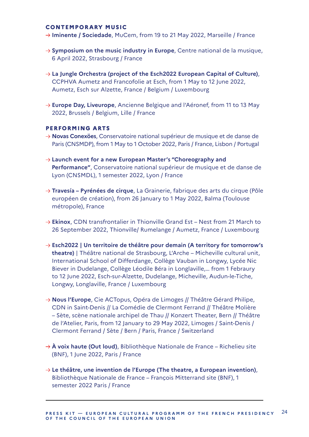#### **CONTEMPORARY MUSIC**

- → Iminente / Sociedade, MuCem, from 19 to 21 May 2022, Marseille / France
- **Symposium on the music industry in Europe**, Centre national de la musique, 6 April 2022, Strasbourg / France
- **La Jungle Orchestra (project of the Esch2022 European Capital of Culture)**, CCPHVA Aumetz and Francofolie at Esch, from 1 May to 12 June 2022, Aumetz, Esch sur Alzette, France / Belgium / Luxembourg
- → **Europe Day, Liveurope**, Ancienne Belgique and l'Aéronef, from 11 to 13 May 2022, Brussels / Belgium, Lille / France

#### **PERFORMING ARTS**

- **Novas Conexöes**, Conservatoire national supérieur de musique et de danse de Paris (CNSMDP), from 1 May to 1 October 2022, Paris / France, Lisbon / Portugal
- **Launch event for a new European Master's "Choreography and Performance"**, Conservatoire national supérieur de musique et de danse de Lyon (CNSMDL), 1 semester 2022, Lyon / France
- **→ Travesía Pyrénées de cirque**, La Grainerie, fabrique des arts du cirque (Pôle européen de création), from 26 January to 1 May 2022, Balma (Toulouse métropole), France
- → **Ekinox**, CDN transfrontalier in Thionville Grand Est Nest from 21 March to 26 September 2022, Thionville/ Rumelange / Aumetz, France / Luxembourg
- **Esch2022 | Un territoire de théâtre pour demain (A territory for tomorrow's theatre)** | Théâtre national de Strasbourg, L'Arche – Micheville cultural unit, International School of Differdange, Collège Vauban in Longwy, Lycée Nic Biever in Dudelange, Collège Léodile Béra in Longlaville,… from 1 Febraury to 12 June 2022, Esch-sur-Alzette, Dudelange, Micheville, Audun-le-Tiche, Longwy, Longlaville, France / Luxembourg
- → **Nous l'Europe**, Cie ACTopus, Opéra de Limoges // Théâtre Gérard Philipe, CDN in Saint-Denis // La Comédie de Clermont Ferrand // Théâtre Molière – Sète, scène nationale archipel de Thau // Konzert Theater, Bern // Théâtre de l'Atelier, Paris, from 12 January to 29 May 2022, Limoges / Saint-Denis / Clermont Ferrand / Sète / Bern / Paris, France / Switzerland
- $\rightarrow$  **A voix haute (Out loud)**, Bibliothèque Nationale de France Richelieu site (BNF), 1 June 2022, Paris / France
- **Le théâtre, une invention de l'Europe (The theatre, a European invention)**, Bibliothèque Nationale de France – François Mitterrand site (BNF), 1 semester 2022 Paris / France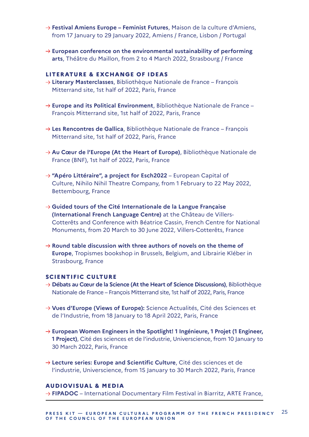- **Festival Amiens Europe Feminist Futures**, Maison de la culture d'Amiens, from 17 January to 29 January 2022, Amiens / France, Lisbon / Portugal
- $\rightarrow$  European conference on the environmental sustainability of performing **arts**, Théâtre du Maillon, from 2 to 4 March 2022, Strasbourg / France

#### **LITERATURE & EXCHANGE OF IDEAS**

- **Literary Masterclasses**, Bibliothèque Nationale de France François Mitterrand site, 1st half of 2022, Paris, France
- **Europe and its Political Environment**, Bibliothèque Nationale de France François Mitterrand site, 1st half of 2022, Paris, France
- **→ Les Rencontres de Gallica**, Bibliothèque Nationale de France François Mitterrand site, 1st half of 2022, Paris, France
- → Au Cœur de l'Europe (At the Heart of Europe), Bibliothèque Nationale de France (BNF), 1st half of 2022, Paris, France
- **"Apéro Littéraire", a project for Esch2022** European Capital of Culture, Nihilo Nihil Theatre Company, from 1 February to 22 May 2022, Bettembourg, France
- **Guided tours of the Cité Internationale de la Langue Française (International French Language Centre)** at the Château de Villers-Cotterêts and Conference with Béatrice Cassin, French Centre for National Monuments, from 20 March to 30 June 2022, Villers-Cotterêts, France
- $\rightarrow$  Round table discussion with three authors of novels on the theme of **Europe**, Tropismes bookshop in Brussels, Belgium, and Librairie Kléber in Strasbourg, France

#### **SCIENTIFIC CULTURE**

- **Débats au Cœur de la Science (At the Heart of Science Discussions)**, Bibliothèque Nationale de France – François Mitterrand site, 1st half of 2022, Paris, France
- → **Vues d'Europe (Views of Europe):** Science Actualités, Cité des Sciences et de l'Industrie, from 18 January to 18 April 2022, Paris, France
- → European Women Engineers in the Spotlight! 1 Ingénieure, 1 Projet (1 Engineer, **1 Project)**, Cité des sciences et de l'industrie, Universcience, from 10 January to 30 March 2022, Paris, France
- **Lecture series: Europe and Scientific Culture**, Cité des sciences et de l'industrie, Universcience, from 15 January to 30 March 2022, Paris, France

#### **AUDIOVISUAL & MEDIA**

 $\rightarrow$  FIPADOC – International Documentary Film Festival in Biarritz, ARTE France,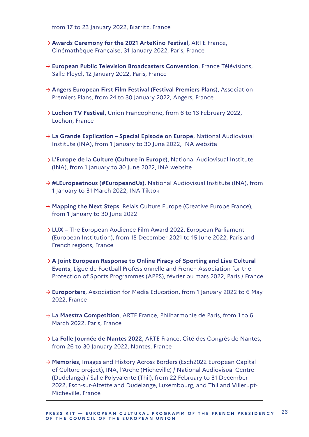from 17 to 23 January 2022, Biarritz, France

- → **Awards Ceremony for the 2021 ArteKino Festival**, ARTE France, Cinémathèque Française, 31 January 2022, Paris, France
- **European Public Television Broadcasters Convention**, France Télévisions, Salle Pleyel, 12 January 2022, Paris, France
- **Angers European First Film Festival (Festival Premiers Plans)**, Association Premiers Plans, from 24 to 30 January 2022, Angers, France
- → **Luchon TV Festival**, Union Francophone, from 6 to 13 February 2022, Luchon, France
- → **La Grande Explication Special Episode on Europe**, National Audiovisual Institute (INA), from 1 January to 30 June 2022, INA website
- **L'Europe de la Culture (Culture in Europe)**, National Audiovisual Institute (INA), from 1 January to 30 June 2022, INA website
- → #LEuropeetnous (#EuropeandUs), National Audiovisual Institute (INA), from 1 January to 31 March 2022, INA Tiktok
- → **Mapping the Next Steps**, Relais Culture Europe (Creative Europe France), from 1 January to 30 June 2022
- → LUX The European Audience Film Award 2022, European Parliament (European Institution), from 15 December 2021 to 15 June 2022, Paris and French regions, France
- → A Joint European Response to Online Piracy of Sporting and Live Cultural **Events**, Ligue de Football Professionnelle and French Association for the Protection of Sports Programmes (APPS), février ou mars 2022, Paris / France
- → **Europorters**, Association for Media Education, from 1 January 2022 to 6 May 2022, France
- → **La Maestra Competition**, ARTE France, Philharmonie de Paris, from 1 to 6 March 2022, Paris, France
- **La Folle Journée de Nantes 2022**, ARTE France, Cité des Congrès de Nantes, from 26 to 30 January 2022, Nantes, France
- → **Memories**, Images and History Across Borders (Esch2022 European Capital of Culture project), INA, l'Arche (Micheville) / National Audiovisual Centre (Dudelange) / Salle Polyvalente (Thil), from 22 February to 31 December 2022, Esch-sur-Alzette and Dudelange, Luxembourg, and Thil and Villerupt-Micheville, France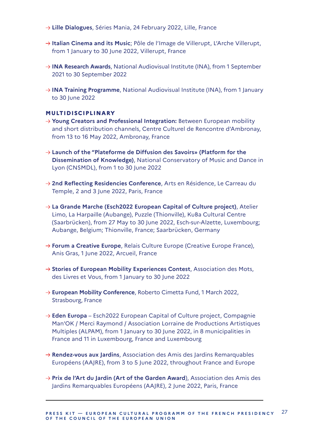- **Lille Dialogues**, Séries Mania, 24 February 2022, Lille, France
- → Italian Cinema and its Music: Pôle de l'Image de Villerupt, L'Arche Villerupt, from 1 January to 30 June 2022, Villerupt, France
- **→ INA Research Awards**, National Audiovisual Institute (INA), from 1 September 2021 to 30 September 2022
- → **INA Training Programme**, National Audiovisual Institute (INA), from 1 January to 30 June 2022

#### **MULTIDISCIPLINARY**

- → **Young Creators and Professional Integration:** Between European mobility and short distribution channels, Centre Culturel de Rencontre d'Ambronay, from 13 to 16 May 2022, Ambronay, France
- **Launch of the "Plateforme de Diffusion des Savoirs» (Platform for the Dissemination of Knowledge)**, National Conservatory of Music and Dance in Lyon (CNSMDL), from 1 to 30 June 2022
- → 2nd Reflecting Residencies Conference, Arts en Résidence, Le Carreau du Temple, 2 and 3 June 2022, Paris, France
- **La Grande Marche (Esch2022 European Capital of Culture project)**, Atelier Limo, La Harpaille (Aubange), Puzzle (Thionville), KuBa Cultural Centre (Saarbrücken), from 27 May to 30 June 2022, Esch-sur-Alzette, Luxembourg; Aubange, Belgium; Thionville, France; Saarbrücken, Germany
- → **Forum a Creative Europe**, Relais Culture Europe (Creative Europe France), Anis Gras, 1 June 2022, Arcueil, France
- → Stories of European Mobility Experiences Contest, Association des Mots, des Livres et Vous, from 1 January to 30 June 2022
- **European Mobility Conference**, Roberto Cimetta Fund, 1 March 2022, Strasbourg, France
- **Eden Europa** Esch2022 European Capital of Culture project, Compagnie Man'OK / Merci Raymond / Association Lorraine de Productions Artistiques Multiples (ALPAM), from 1 January to 30 June 2022, in 8 municipalities in France and 11 in Luxembourg, France and Luxembourg
- **Rendez-vous aux Jardins**, Association des Amis des Jardins Remarquables Européens (AAJRE), from 3 to 5 June 2022, throughout France and Europe
- **Prix de l'Art du Jardin (Art of the Garden Award**), Association des Amis des Jardins Remarquables Européens (AAJRE), 2 June 2022, Paris, France